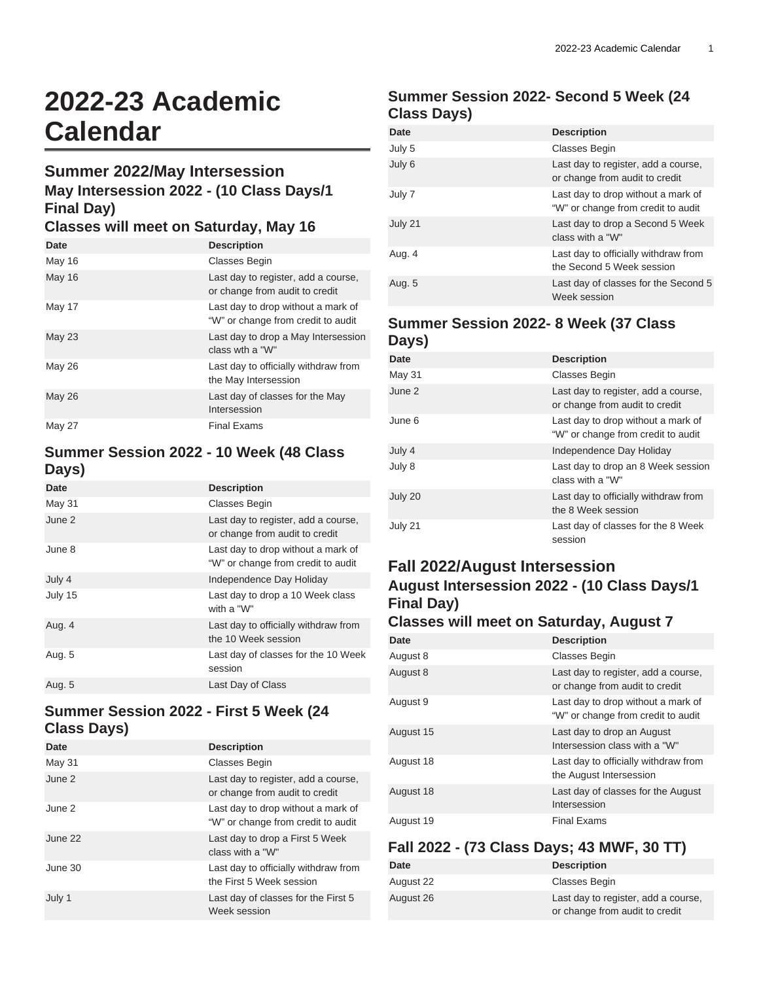# **2022-23 Academic Calendar**

#### **Summer 2022/May Intersession**

# **May Intersession 2022 - (10 Class Days/1 Final Day)**

#### **Classes will meet on Saturday, May 16**

| Date          | <b>Description</b>                                                       |
|---------------|--------------------------------------------------------------------------|
| May 16        | <b>Classes Begin</b>                                                     |
| May 16        | Last day to register, add a course,<br>or change from audit to credit    |
| May 17        | Last day to drop without a mark of<br>"W" or change from credit to audit |
| <b>May 23</b> | Last day to drop a May Intersession<br>class wth a "W"                   |
| May 26        | Last day to officially withdraw from<br>the May Intersession             |
| <b>May 26</b> | Last day of classes for the May<br>Intersession                          |
| <b>May 27</b> | <b>Final Exams</b>                                                       |

#### **Summer Session 2022 - 10 Week (48 Class Days)**

| Date    | <b>Description</b>                                                       |
|---------|--------------------------------------------------------------------------|
| May 31  | <b>Classes Begin</b>                                                     |
| June 2  | Last day to register, add a course,<br>or change from audit to credit    |
| June 8  | Last day to drop without a mark of<br>"W" or change from credit to audit |
| July 4  | Independence Day Holiday                                                 |
| July 15 | Last day to drop a 10 Week class<br>with a "W"                           |
| Aug. 4  | Last day to officially withdraw from<br>the 10 Week session              |
| Aug. 5  | Last day of classes for the 10 Week<br>session                           |
| Aug. 5  | Last Day of Class                                                        |

#### **Summer Session 2022 - First 5 Week (24 Class Days)**

| Date    | <b>Description</b>                                                       |
|---------|--------------------------------------------------------------------------|
| May 31  | <b>Classes Begin</b>                                                     |
| June 2  | Last day to register, add a course,<br>or change from audit to credit    |
| June 2  | Last day to drop without a mark of<br>"W" or change from credit to audit |
| June 22 | Last day to drop a First 5 Week<br>class with a "W"                      |
| June 30 | Last day to officially withdraw from<br>the First 5 Week session         |
| July 1  | Last day of classes for the First 5<br>Week session                      |

# **Summer Session 2022- Second 5 Week (24 Class Days)**

| Date    | <b>Description</b>                                                       |
|---------|--------------------------------------------------------------------------|
| July 5  | <b>Classes Begin</b>                                                     |
| July 6  | Last day to register, add a course,<br>or change from audit to credit    |
| July 7  | Last day to drop without a mark of<br>"W" or change from credit to audit |
| July 21 | Last day to drop a Second 5 Week<br>class with a "W"                     |
| Aug. 4  | Last day to officially withdraw from<br>the Second 5 Week session        |
| Aug. 5  | Last day of classes for the Second 5<br>Week session                     |

#### **Summer Session 2022- 8 Week (37 Class Days)**

| <b>Date</b> | <b>Description</b>                                                       |
|-------------|--------------------------------------------------------------------------|
| May 31      | <b>Classes Begin</b>                                                     |
| June 2      | Last day to register, add a course,<br>or change from audit to credit    |
| June 6      | Last day to drop without a mark of<br>"W" or change from credit to audit |
| July 4      | Independence Day Holiday                                                 |
| July 8      | Last day to drop an 8 Week session<br>class with a "W"                   |
| July 20     | Last day to officially withdraw from<br>the 8 Week session               |
| July 21     | Last day of classes for the 8 Week<br>session                            |
|             |                                                                          |

# **Fall 2022/August Intersession**

# **August Intersession 2022 - (10 Class Days/1 Final Day)**

#### **Classes will meet on Saturday, August 7**

| Date      | <b>Description</b>                                                       |
|-----------|--------------------------------------------------------------------------|
| August 8  | <b>Classes Begin</b>                                                     |
| August 8  | Last day to register, add a course,<br>or change from audit to credit    |
| August 9  | Last day to drop without a mark of<br>"W" or change from credit to audit |
| August 15 | Last day to drop an August<br>Intersession class with a "W"              |
| August 18 | Last day to officially withdraw from<br>the August Intersession          |
| August 18 | Last day of classes for the August<br>Intersession                       |
| August 19 | <b>Final Exams</b>                                                       |

### **Fall 2022 - (73 Class Days; 43 MWF, 30 TT)**

| Date      | <b>Description</b>                  |
|-----------|-------------------------------------|
| August 22 | Classes Begin                       |
| August 26 | Last day to register, add a course, |
|           | or change from audit to credit      |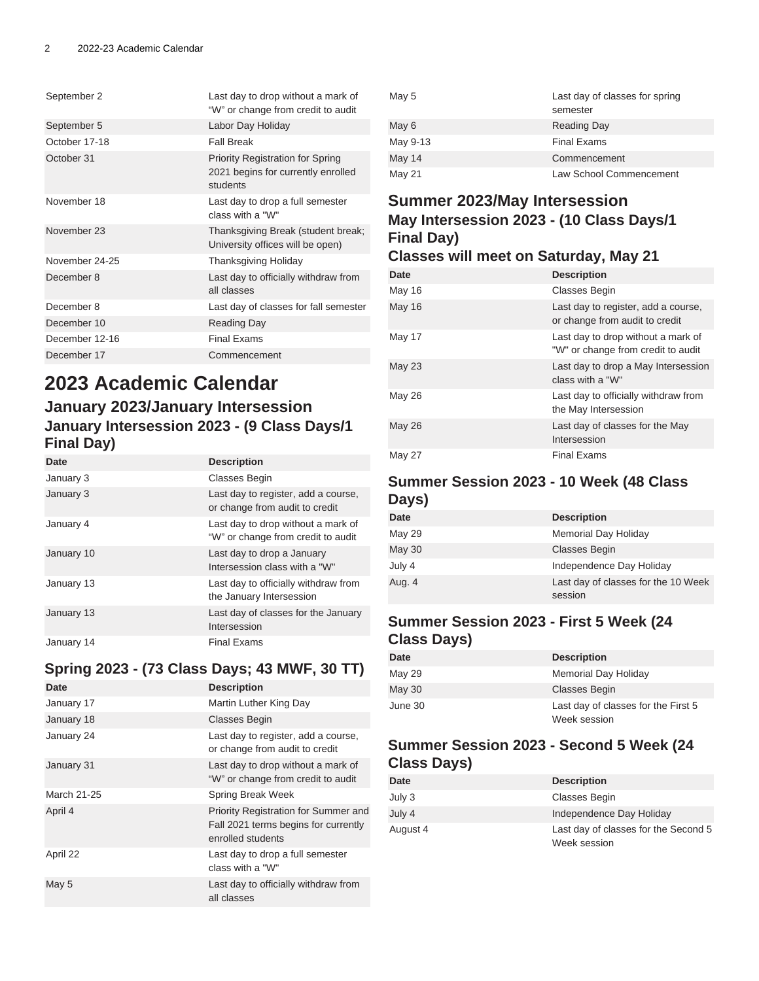| September 2    | Last day to drop without a mark of<br>"W" or change from credit to audit                  |
|----------------|-------------------------------------------------------------------------------------------|
| September 5    | Labor Day Holiday                                                                         |
| October 17-18  | <b>Fall Break</b>                                                                         |
| October 31     | <b>Priority Registration for Spring</b><br>2021 begins for currently enrolled<br>students |
| November 18    | Last day to drop a full semester<br>class with a "W"                                      |
| November 23    | Thanksgiving Break (student break;<br>University offices will be open)                    |
| November 24-25 | Thanksgiving Holiday                                                                      |
| December 8     | Last day to officially withdraw from<br>all classes                                       |
| December 8     | Last day of classes for fall semester                                                     |
| December 10    | <b>Reading Day</b>                                                                        |
| December 12-16 | <b>Final Exams</b>                                                                        |
| December 17    | Commencement                                                                              |

# **2023 Academic Calendar January 2023/January Intersession January Intersession 2023 - (9 Class Days/1 Final Day)**

| Date       | <b>Description</b>                                                       |
|------------|--------------------------------------------------------------------------|
| January 3  | <b>Classes Begin</b>                                                     |
| January 3  | Last day to register, add a course,<br>or change from audit to credit    |
| January 4  | Last day to drop without a mark of<br>"W" or change from credit to audit |
| January 10 | Last day to drop a January<br>Intersession class with a "W"              |
| January 13 | Last day to officially withdraw from<br>the January Intersession         |
| January 13 | Last day of classes for the January<br>Intersession                      |
| January 14 | <b>Final Fxams</b>                                                       |

# **Spring 2023 - (73 Class Days; 43 MWF, 30 TT)**

| Date        | <b>Description</b>                                                                                |
|-------------|---------------------------------------------------------------------------------------------------|
| January 17  | Martin Luther King Day                                                                            |
| January 18  | <b>Classes Begin</b>                                                                              |
| January 24  | Last day to register, add a course,<br>or change from audit to credit                             |
| January 31  | Last day to drop without a mark of<br>"W" or change from credit to audit                          |
| March 21-25 | Spring Break Week                                                                                 |
| April 4     | Priority Registration for Summer and<br>Fall 2021 terms begins for currently<br>enrolled students |
| April 22    | Last day to drop a full semester<br>class with a "W"                                              |
| May 5       | Last day to officially withdraw from<br>all classes                                               |

| May 5    | Last day of classes for spring<br>semester |
|----------|--------------------------------------------|
| May 6    | <b>Reading Day</b>                         |
| May 9-13 | <b>Final Exams</b>                         |
| May 14   | Commencement                               |
| May 21   | Law School Commencement                    |

# **Summer 2023/May Intersession May Intersession 2023 - (10 Class Days/1 Final Day)**

#### **Classes will meet on Saturday, May 21**

| Date          | <b>Description</b>                                                       |
|---------------|--------------------------------------------------------------------------|
| May 16        | Classes Begin                                                            |
| <b>May 16</b> | Last day to register, add a course,<br>or change from audit to credit    |
| May 17        | Last day to drop without a mark of<br>"W" or change from credit to audit |
| <b>May 23</b> | Last day to drop a May Intersession<br>class with a "W"                  |
| May 26        | Last day to officially withdraw from<br>the May Intersession             |
| <b>May 26</b> | Last day of classes for the May<br>Intersession                          |
| <b>May 27</b> | <b>Final Exams</b>                                                       |

#### **Summer Session 2023 - 10 Week (48 Class Days)**

| Date   | <b>Description</b>                  |
|--------|-------------------------------------|
| May 29 | <b>Memorial Day Holiday</b>         |
| May 30 | <b>Classes Begin</b>                |
| July 4 | Independence Day Holiday            |
| Aug. 4 | Last day of classes for the 10 Week |
|        | session                             |

#### **Summer Session 2023 - First 5 Week (24 Class Days)**

| Date          | <b>Description</b>                                  |
|---------------|-----------------------------------------------------|
| May 29        | Memorial Day Holiday                                |
| <b>May 30</b> | <b>Classes Begin</b>                                |
| June 30       | Last day of classes for the First 5<br>Week session |

## **Summer Session 2023 - Second 5 Week (24 Class Days)**

| Date     | <b>Description</b>                                   |
|----------|------------------------------------------------------|
| July 3   | Classes Begin                                        |
| July 4   | Independence Day Holiday                             |
| August 4 | Last day of classes for the Second 5<br>Week session |